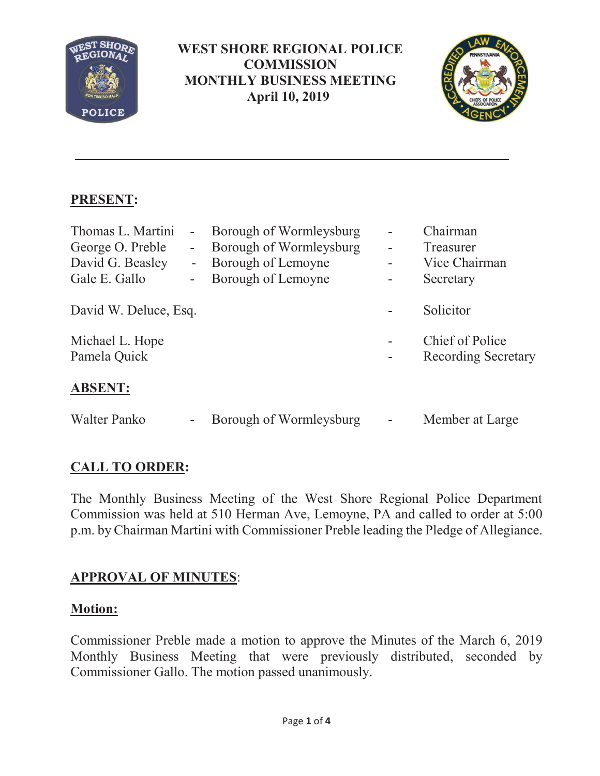

### **WEST SHORE REGIONAL POLICE COMMISSION MONTHLY BUSINESS MEETING April 10, 2019**



# **PRESENT:**

| Thomas L. Martini<br>George O. Preble<br>David G. Beasley<br>Gale E. Gallo | $\blacksquare$<br>$\blacksquare$<br>$\overline{\phantom{a}}$<br>÷, | Borough of Wormleysburg<br>Borough of Wormleysburg<br>Borough of Lemoyne<br>Borough of Lemoyne | Chairman<br>Treasurer<br>Vice Chairman<br>Secretary  |
|----------------------------------------------------------------------------|--------------------------------------------------------------------|------------------------------------------------------------------------------------------------|------------------------------------------------------|
| David W. Deluce, Esq.                                                      |                                                                    |                                                                                                | Solicitor                                            |
| Michael L. Hope<br>Pamela Quick                                            |                                                                    |                                                                                                | <b>Chief of Police</b><br><b>Recording Secretary</b> |
| <b>ABSENT:</b>                                                             |                                                                    |                                                                                                |                                                      |
| Walter Panko                                                               | $\qquad \qquad$                                                    | Borough of Wormleysburg                                                                        | Member at Large                                      |

## **CALL TO ORDER:**

The Monthly Business Meeting of the West Shore Regional Police Department Commission was held at 510 Herman Ave, Lemoyne, PA and called to order at 5:00 p.m. by Chairman Martini with Commissioner Preble leading the Pledge of Allegiance.

## **APPROVAL OF MINUTES**:

### **Motion:**

Commissioner Preble made a motion to approve the Minutes of the March 6, 2019 Monthly Business Meeting that were previously distributed, seconded by Commissioner Gallo. The motion passed unanimously.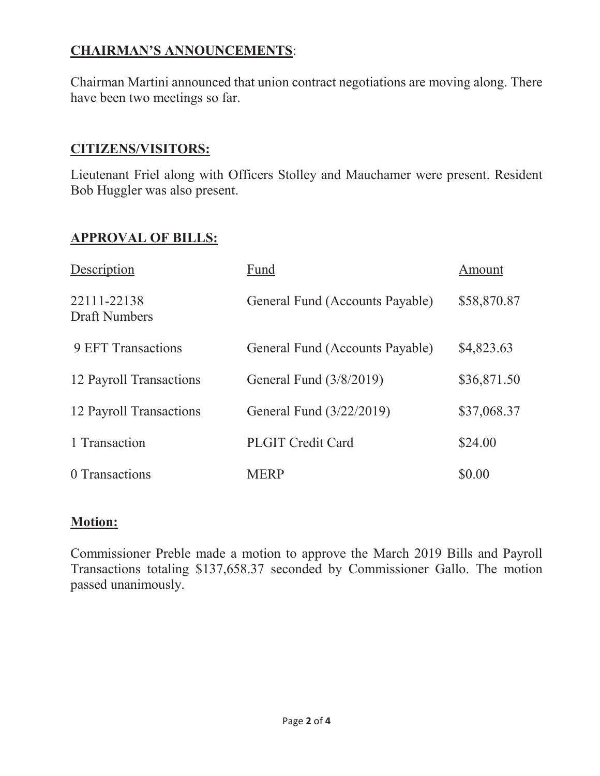# **CHAIRMAN'S ANNOUNCEMENTS**:

Chairman Martini announced that union contract negotiations are moving along. There have been two meetings so far.

#### **CITIZENS/VISITORS:**

Lieutenant Friel along with Officers Stolley and Mauchamer were present. Resident Bob Huggler was also present.

### **APPROVAL OF BILLS:**

| Description                         | Fund                            | Amount      |
|-------------------------------------|---------------------------------|-------------|
| 22111-22138<br><b>Draft Numbers</b> | General Fund (Accounts Payable) | \$58,870.87 |
| 9 EFT Transactions                  | General Fund (Accounts Payable) | \$4,823.63  |
| 12 Payroll Transactions             | General Fund (3/8/2019)         | \$36,871.50 |
| 12 Payroll Transactions             | General Fund (3/22/2019)        | \$37,068.37 |
| 1 Transaction                       | <b>PLGIT Credit Card</b>        | \$24.00     |
| 0 Transactions                      | <b>MERP</b>                     | \$0.00      |

#### **Motion:**

Commissioner Preble made a motion to approve the March 2019 Bills and Payroll Transactions totaling \$137,658.37 seconded by Commissioner Gallo. The motion passed unanimously.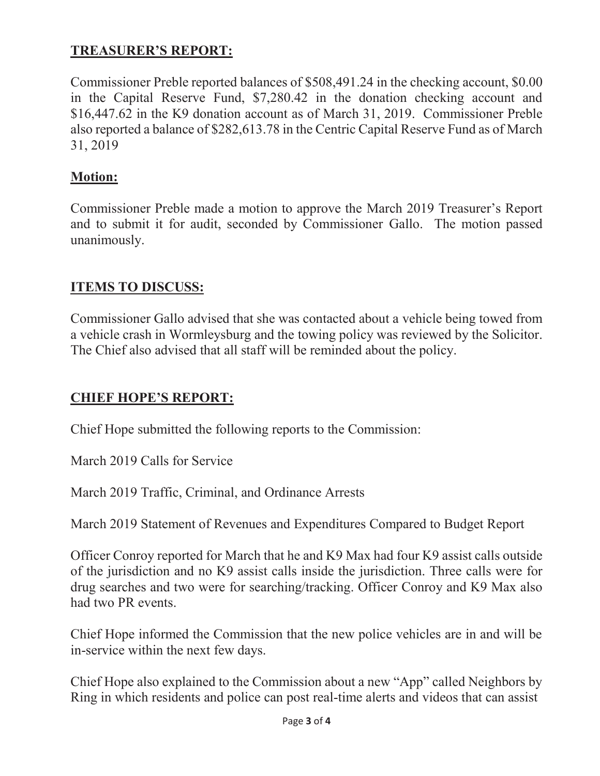## **TREASURER'S REPORT:**

Commissioner Preble reported balances of \$508,491.24 in the checking account, \$0.00 in the Capital Reserve Fund, \$7,280.42 in the donation checking account and \$16,447.62 in the K9 donation account as of March 31, 2019. Commissioner Preble also reported a balance of \$282,613.78 in the Centric Capital Reserve Fund as of March 31, 2019

### **Motion:**

Commissioner Preble made a motion to approve the March 2019 Treasurer's Report and to submit it for audit, seconded by Commissioner Gallo. The motion passed unanimously.

## **ITEMS TO DISCUSS:**

Commissioner Gallo advised that she was contacted about a vehicle being towed from a vehicle crash in Wormleysburg and the towing policy was reviewed by the Solicitor. The Chief also advised that all staff will be reminded about the policy.

### **CHIEF HOPE'S REPORT:**

Chief Hope submitted the following reports to the Commission:

March 2019 Calls for Service

March 2019 Traffic, Criminal, and Ordinance Arrests

March 2019 Statement of Revenues and Expenditures Compared to Budget Report

Officer Conroy reported for March that he and K9 Max had four K9 assist calls outside of the jurisdiction and no K9 assist calls inside the jurisdiction. Three calls were for drug searches and two were for searching/tracking. Officer Conroy and K9 Max also had two PR events.

Chief Hope informed the Commission that the new police vehicles are in and will be in-service within the next few days.

Chief Hope also explained to the Commission about a new "App" called Neighbors by Ring in which residents and police can post real-time alerts and videos that can assist